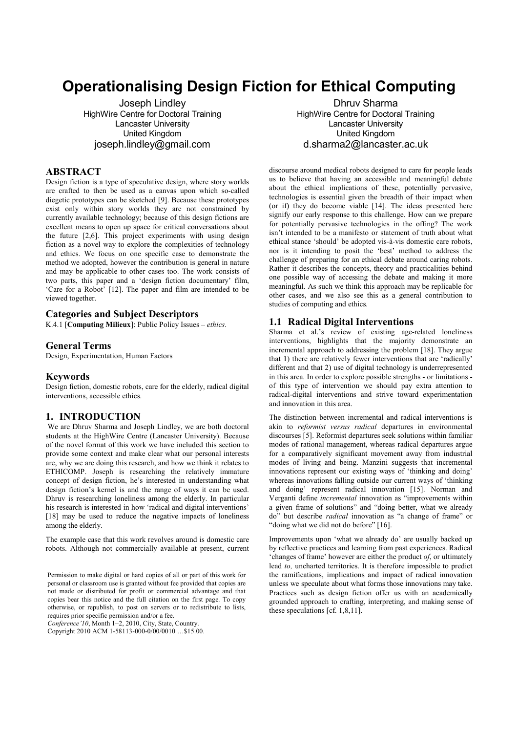# **Operationalising Design Fiction for Ethical Computing**

Joseph Lindley HighWire Centre for Doctoral Training Lancaster University United Kingdom joseph.lindley@gmail.com

# **ABSTRACT**

Design fiction is a type of speculative design, where story worlds are crafted to then be used as a canvas upon which so-called diegetic prototypes can be sketched [9]. Because these prototypes exist only within story worlds they are not constrained by currently available technology; because of this design fictions are excellent means to open up space for critical conversations about the future [2,6]. This project experiments with using design fiction as a novel way to explore the complexities of technology and ethics. We focus on one specific case to demonstrate the method we adopted, however the contribution is general in nature and may be applicable to other cases too. The work consists of two parts, this paper and a 'design fiction documentary' film, 'Care for a Robot' [12]. The paper and film are intended to be viewed together.

## **Categories and Subject Descriptors**

K.4.1 [**Computing Milieux**]: Public Policy Issues – *ethics*.

## **General Terms**

Design, Experimentation, Human Factors

### **Keywords**

Design fiction, domestic robots, care for the elderly, radical digital interventions, accessible ethics.

## **1. INTRODUCTION**

We are Dhruv Sharma and Joseph Lindley, we are both doctoral students at the HighWire Centre (Lancaster University). Because of the novel format of this work we have included this section to provide some context and make clear what our personal interests are, why we are doing this research, and how we think it relates to ETHICOMP. Joseph is researching the relatively immature concept of design fiction, he's interested in understanding what design fiction's kernel is and the range of ways it can be used. Dhruv is researching loneliness among the elderly. In particular his research is interested in how 'radical and digital interventions' [18] may be used to reduce the negative impacts of loneliness among the elderly.

The example case that this work revolves around is domestic care robots. Although not commercially available at present, current

*Conference'10*, Month 1–2, 2010, City, State, Country.

Copyright 2010 ACM 1-58113-000-0/00/0010 …\$15.00.

Dhruv Sharma HighWire Centre for Doctoral Training Lancaster University United Kingdom d.sharma2@lancaster.ac.uk

discourse around medical robots designed to care for people leads us to believe that having an accessible and meaningful debate about the ethical implications of these, potentially pervasive, technologies is essential given the breadth of their impact when (or if) they do become viable [14]. The ideas presented here signify our early response to this challenge. How can we prepare for potentially pervasive technologies in the offing? The work isn't intended to be a manifesto or statement of truth about what ethical stance 'should' be adopted vis-à-vis domestic care robots, nor is it intending to posit the 'best' method to address the challenge of preparing for an ethical debate around caring robots. Rather it describes the concepts, theory and practicalities behind one possible way of accessing the debate and making it more meaningful. As such we think this approach may be replicable for other cases, and we also see this as a general contribution to studies of computing and ethics.

### **1.1 Radical Digital Interventions**

Sharma et al.'s review of existing age-related loneliness interventions, highlights that the majority demonstrate an incremental approach to addressing the problem [18]. They argue that 1) there are relatively fewer interventions that are 'radically' different and that 2) use of digital technology is underrepresented in this area. In order to explore possible strengths - or limitations of this type of intervention we should pay extra attention to radical-digital interventions and strive toward experimentation and innovation in this area.

The distinction between incremental and radical interventions is akin to *reformist versus radical* departures in environmental discourses [5]. Reformist departures seek solutions within familiar modes of rational management, whereas radical departures argue for a comparatively significant movement away from industrial modes of living and being. Manzini suggests that incremental innovations represent our existing ways of 'thinking and doing' whereas innovations falling outside our current ways of 'thinking and doing' represent radical innovation [15]. Norman and Verganti define *incremental* innovation as "improvements within a given frame of solutions" and "doing better, what we already do" but describe *radical* innovation as "a change of frame" or "doing what we did not do before" [16].

Improvements upon 'what we already do' are usually backed up by reflective practices and learning from past experiences. Radical 'changes of frame' however are either the product *of*, or ultimately lead *to,* uncharted territories. It is therefore impossible to predict the ramifications, implications and impact of radical innovation unless we speculate about what forms those innovations may take. Practices such as design fiction offer us with an academically grounded approach to crafting, interpreting, and making sense of these speculations [cf. 1,8,11].

Permission to make digital or hard copies of all or part of this work for personal or classroom use is granted without fee provided that copies are not made or distributed for profit or commercial advantage and that copies bear this notice and the full citation on the first page. To copy otherwise, or republish, to post on servers or to redistribute to lists, requires prior specific permission and/or a fee.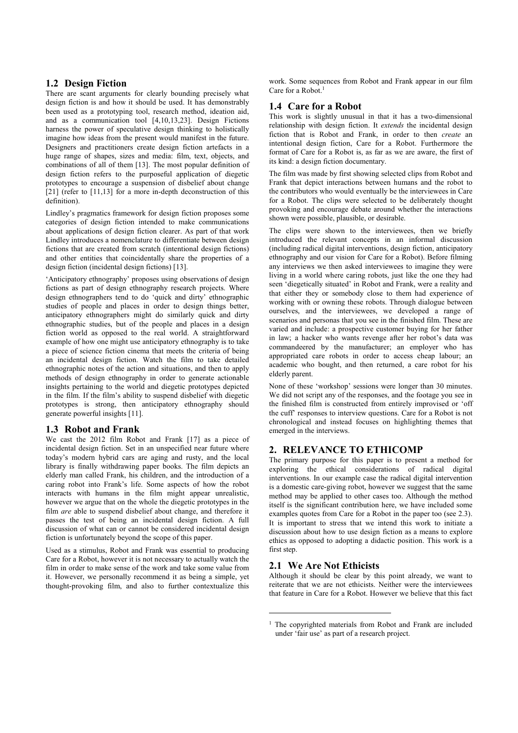## **1.2 Design Fiction**

There are scant arguments for clearly bounding precisely what design fiction is and how it should be used. It has demonstrably been used as a prototyping tool, research method, ideation aid, and as a communication tool [4,10,13,23]. Design Fictions harness the power of speculative design thinking to holistically imagine how ideas from the present would manifest in the future. Designers and practitioners create design fiction artefacts in a huge range of shapes, sizes and media: film, text, objects, and combinations of all of them [13]. The most popular definition of design fiction refers to the purposeful application of diegetic prototypes to encourage a suspension of disbelief about change [21] (refer to [11,13] for a more in-depth deconstruction of this definition).

Lindley's pragmatics framework for design fiction proposes some categories of design fiction intended to make communications about applications of design fiction clearer. As part of that work Lindley introduces a nomenclature to differentiate between design fictions that are created from scratch (intentional design fictions) and other entities that coincidentally share the properties of a design fiction (incidental design fictions) [13].

'Anticipatory ethnography' proposes using observations of design fictions as part of design ethnography research projects. Where design ethnographers tend to do 'quick and dirty' ethnographic studies of people and places in order to design things better, anticipatory ethnographers might do similarly quick and dirty ethnographic studies, but of the people and places in a design fiction world as opposed to the real world. A straightforward example of how one might use anticipatory ethnography is to take a piece of science fiction cinema that meets the criteria of being an incidental design fiction. Watch the film to take detailed ethnographic notes of the action and situations, and then to apply methods of design ethnography in order to generate actionable insights pertaining to the world and diegetic prototypes depicted in the film. If the film's ability to suspend disbelief with diegetic prototypes is strong, then anticipatory ethnography should generate powerful insights [11].

## **1.3 Robot and Frank**

We cast the 2012 film Robot and Frank [17] as a piece of incidental design fiction. Set in an unspecified near future where today's modern hybrid cars are aging and rusty, and the local library is finally withdrawing paper books. The film depicts an elderly man called Frank, his children, and the introduction of a caring robot into Frank's life. Some aspects of how the robot interacts with humans in the film might appear unrealistic, however we argue that on the whole the diegetic prototypes in the film *are* able to suspend disbelief about change, and therefore it passes the test of being an incidental design fiction. A full discussion of what can or cannot be considered incidental design fiction is unfortunately beyond the scope of this paper.

Used as a stimulus, Robot and Frank was essential to producing Care for a Robot, however it is not necessary to actually watch the film in order to make sense of the work and take some value from it. However, we personally recommend it as being a simple, yet thought-provoking film, and also to further contextualize this

work. Some sequences from Robot and Frank appear in our film Care for a Robot.<sup>1</sup>

## **1.4 Care for a Robot**

This work is slightly unusual in that it has a two-dimensional relationship with design fiction. It *extends* the incidental design fiction that is Robot and Frank, in order to then *create* an intentional design fiction, Care for a Robot. Furthermore the format of Care for a Robot is, as far as we are aware, the first of its kind: a design fiction documentary.

The film was made by first showing selected clips from Robot and Frank that depict interactions between humans and the robot to the contributors who would eventually be the interviewees in Care for a Robot. The clips were selected to be deliberately thought provoking and encourage debate around whether the interactions shown were possible, plausible, or desirable.

The clips were shown to the interviewees, then we briefly introduced the relevant concepts in an informal discussion (including radical digital interventions, design fiction, anticipatory ethnography and our vision for Care for a Robot). Before filming any interviews we then asked interviewees to imagine they were living in a world where caring robots, just like the one they had seen 'diegetically situated' in Robot and Frank, were a reality and that either they or somebody close to them had experience of working with or owning these robots. Through dialogue between ourselves, and the interviewees, we developed a range of scenarios and personas that you see in the finished film. These are varied and include: a prospective customer buying for her father in law; a hacker who wants revenge after her robot's data was commandeered by the manufacturer; an employer who has appropriated care robots in order to access cheap labour; an academic who bought, and then returned, a care robot for his elderly parent.

None of these 'workshop' sessions were longer than 30 minutes. We did not script any of the responses, and the footage you see in the finished film is constructed from entirely improvised or 'off the cuff' responses to interview questions. Care for a Robot is not chronological and instead focuses on highlighting themes that emerged in the interviews.

# **2. RELEVANCE TO ETHICOMP**

The primary purpose for this paper is to present a method for exploring the ethical considerations of radical digital interventions. In our example case the radical digital intervention is a domestic care-giving robot, however we suggest that the same method may be applied to other cases too. Although the method itself is the significant contribution here, we have included some examples quotes from Care for a Robot in the paper too (see 2.3). It is important to stress that we intend this work to initiate a discussion about how to use design fiction as a means to explore ethics as opposed to adopting a didactic position. This work is a first step.

## **2.1 We Are Not Ethicists**

-

Although it should be clear by this point already, we want to reiterate that we are not ethicists. Neither were the interviewees that feature in Care for a Robot. However we believe that this fact

<sup>&</sup>lt;sup>1</sup> The copyrighted materials from Robot and Frank are included under 'fair use' as part of a research project.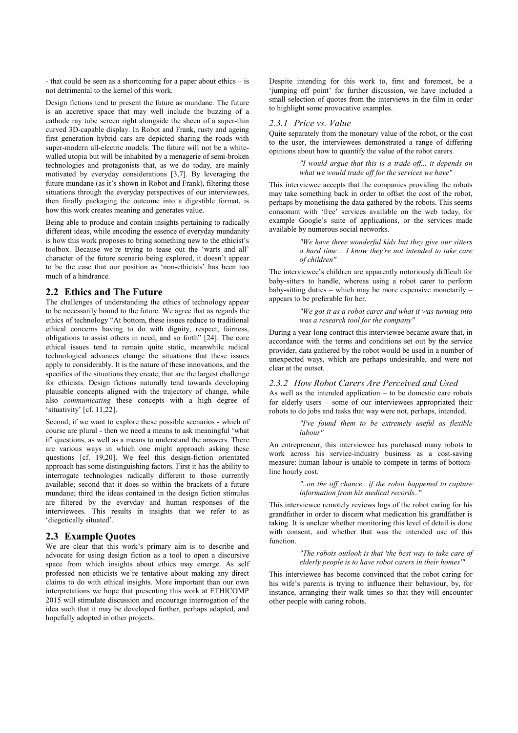- that could be seen as a shortcoming for a paper about ethics – is not detrimental to the kernel of this work.

Design fictions tend to present the future as mundane. The future is an accretive space that may well include the buzzing of a cathode ray tube screen right alongside the sheen of a super-thin curved 3D-capable display. In Robot and Frank, rusty and ageing first generation hybrid cars are depicted sharing the roads with super-modern all-electric models. The future will not be a whitewalled utopia but will be inhabited by a menagerie of semi-broken technologies and protagonists that, as we do today, are mainly motivated by everyday considerations [3,7]. By leveraging the future mundane (as it's shown in Robot and Frank), filtering those situations through the everyday perspectives of our interviewees, then finally packaging the outcome into a digestible format, is how this work creates meaning and generates value.

Being able to produce and contain insights pertaining to radically different ideas, while encoding the essence of everyday mundanity is how this work proposes to bring something new to the ethicist's toolbox. Because we're trying to tease out the 'warts and all' character of the future scenario being explored, it doesn't appear to be the case that our position as 'non-ethicists' has been too much of a hindrance.

## **2.2 Ethics and The Future**

The challenges of understanding the ethics of technology appear to be necessarily bound to the future. We agree that as regards the ethics of technology "At bottom, these issues reduce to traditional ethical concerns having to do with dignity, respect, fairness, obligations to assist others in need, and so forth" [24]. The core ethical issues tend to remain quite static, meanwhile radical technological advances change the situations that these issues apply to considerably. It is the nature of these innovations, and the specifics of the situations they create, that are the largest challenge for ethicists. Design fictions naturally tend towards developing plausible concepts aligned with the trajectory of change, while also *communicating* these concepts with a high degree of 'situativity' [cf. 11,22].

Second, if we want to explore these possible scenarios - which of course are plural - then we need a means to ask meaningful 'what if' questions, as well as a means to understand the answers. There are various ways in which one might approach asking these questions [cf. 19,20]. We feel this design-fiction orientated approach has some distinguishing factors. First it has the ability to interrogate technologies radically different to those currently available; second that it does so within the brackets of a future mundane; third the ideas contained in the design fiction stimulus are filtered by the everyday and human responses of the interviewees. This results in insights that we refer to as 'diegetically situated'.

### **2.3 Example Quotes**

We are clear that this work's primary aim is to describe and advocate for using design fiction as a tool to open a discursive space from which insights about ethics may emerge. As self professed non-ethicists we're tentative about making any direct claims to do with ethical insights. More important than our own interpretations we hope that presenting this work at ETHICOMP 2015 will stimulate discussion and encourage interrogation of the idea such that it may be developed further, perhaps adapted, and hopefully adopted in other projects.

Despite intending for this work to, first and foremost, be a 'jumping off point' for further discussion, we have included a small selection of quotes from the interviews in the film in order to highlight some provocative examples.

#### *2.3.1 Price vs. Value*

Quite separately from the monetary value of the robot, or the cost to the user, the interviewees demonstrated a range of differing opinions about how to quantify the value of the robot carers.

> *"I would argue that this is a trade-off... it depends on what we would trade off for the services we have"*

This interviewee accepts that the companies providing the robots may take something back in order to offset the cost of the robot, perhaps by monetising the data gathered by the robots. This seems consonant with 'free' services available on the web today, for example Google's suite of applications, or the services made available by numerous social networks.

> *"We have three wonderful kids but they give our sitters a hard time… I know they're not intended to take care of children"*

The interviewee's children are apparently notoriously difficult for baby-sitters to handle, whereas using a robot carer to perform baby-sitting duties – which may be more expensive monetarily – appears to be preferable for her.

> *"We got it as a robot carer and what it was turning into was a research tool for the company"*

During a year-long contract this interviewee became aware that, in accordance with the terms and conditions set out by the service provider, data gathered by the robot would be used in a number of unexpected ways, which are perhaps undesirable, and were not clear at the outset.

#### *2.3.2 How Robot Carers Are Perceived and Used*

As well as the intended application – to be domestic care robots for elderly users – some of our interviewees appropriated their robots to do jobs and tasks that way were not, perhaps, intended.

> *"I've found them to be extremely useful as flexible labour"*

An entrepreneur, this interviewee has purchased many robots to work across his service-industry business as a cost-saving measure: human labour is unable to compete in terms of bottomline hourly cost.

> *"..on the off chance.. if the robot happened to capture information from his medical records.."*

This interviewee remotely reviews logs of the robot caring for his grandfather in order to discern what medication his grandfather is taking. It is unclear whether monitoring this level of detail is done with consent, and whether that was the intended use of this function.

> *"The robots outlook is that 'the best way to take care of elderly people is to have robot carers in their homes'"*

This interviewee has become convinced that the robot caring for his wife's parents is trying to influence their behaviour, by, for instance, arranging their walk times so that they will encounter other people with caring robots.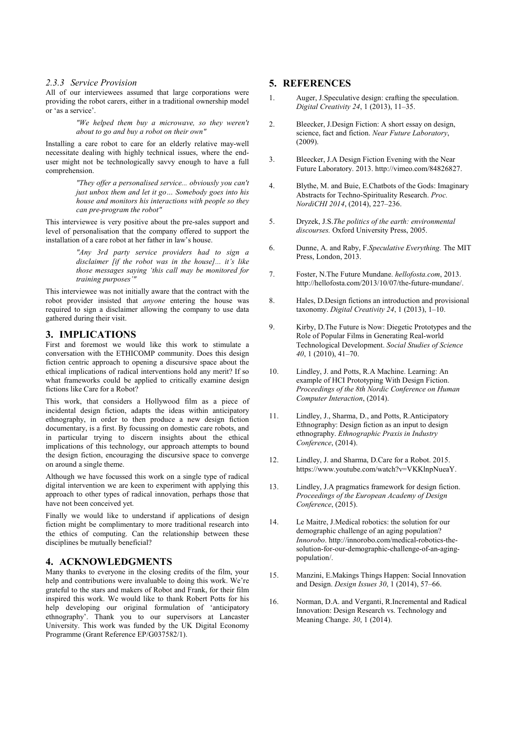#### *2.3.3 Service Provision*

All of our interviewees assumed that large corporations were providing the robot carers, either in a traditional ownership model or 'as a service'.

> *"We helped them buy a microwave, so they weren't about to go and buy a robot on their own"*

Installing a care robot to care for an elderly relative may-well necessitate dealing with highly technical issues, where the enduser might not be technologically savvy enough to have a full comprehension.

> *"They offer a personalised service... obviously you can't just unbox them and let it go… Somebody goes into his house and monitors his interactions with people so they can pre-program the robot"*

This interviewee is very positive about the pre-sales support and level of personalisation that the company offered to support the installation of a care robot at her father in law's house.

> *"Any 3rd party service providers had to sign a disclaimer [if the robot was in the house]... it's like those messages saying 'this call may be monitored for training purposes'"*

This interviewee was not initially aware that the contract with the robot provider insisted that *anyone* entering the house was required to sign a disclaimer allowing the company to use data gathered during their visit.

## **3. IMPLICATIONS**

First and foremost we would like this work to stimulate a conversation with the ETHICOMP community. Does this design fiction centric approach to opening a discursive space about the ethical implications of radical interventions hold any merit? If so what frameworks could be applied to critically examine design fictions like Care for a Robot?

This work, that considers a Hollywood film as a piece of incidental design fiction, adapts the ideas within anticipatory ethnography, in order to then produce a new design fiction documentary, is a first. By focussing on domestic care robots, and in particular trying to discern insights about the ethical implications of this technology, our approach attempts to bound the design fiction, encouraging the discursive space to converge on around a single theme.

Although we have focussed this work on a single type of radical digital intervention we are keen to experiment with applying this approach to other types of radical innovation, perhaps those that have not been conceived yet.

Finally we would like to understand if applications of design fiction might be complimentary to more traditional research into the ethics of computing. Can the relationship between these disciplines be mutually beneficial?

## **4. ACKNOWLEDGMENTS**

Many thanks to everyone in the closing credits of the film, your help and contributions were invaluable to doing this work. We're grateful to the stars and makers of Robot and Frank, for their film inspired this work. We would like to thank Robert Potts for his help developing our original formulation of 'anticipatory ethnography'. Thank you to our supervisors at Lancaster University. This work was funded by the UK Digital Economy Programme (Grant Reference EP/G037582/1).

## **5. REFERENCES**

- 1. Auger, J.Speculative design: crafting the speculation. *Digital Creativity 24*, 1 (2013), 11–35.
- 2. Bleecker, J.Design Fiction: A short essay on design, science, fact and fiction. *Near Future Laboratory*, (2009).
- 3. Bleecker, J.A Design Fiction Evening with the Near Future Laboratory. 2013. http://vimeo.com/84826827.
- 4. Blythe, M. and Buie, E.Chatbots of the Gods: Imaginary Abstracts for Techno-Spirituality Research. *Proc. NordiCHI 2014*, (2014), 227–236.
- 5. Dryzek, J.S.*The politics of the earth: environmental discourses.* Oxford University Press, 2005.
- 6. Dunne, A. and Raby, F.*Speculative Everything.* The MIT Press, London, 2013.
- 7. Foster, N.The Future Mundane. *hellofosta.com*, 2013. http://hellofosta.com/2013/10/07/the-future-mundane/.
- 8. Hales, D.Design fictions an introduction and provisional taxonomy. *Digital Creativity 24*, 1 (2013), 1–10.
- 9. Kirby, D.The Future is Now: Diegetic Prototypes and the Role of Popular Films in Generating Real-world Technological Development. *Social Studies of Science 40*, 1 (2010), 41–70.
- 10. Lindley, J. and Potts, R.A Machine. Learning: An example of HCI Prototyping With Design Fiction. *Proceedings of the 8th Nordic Conference on Human Computer Interaction*, (2014).
- 11. Lindley, J., Sharma, D., and Potts, R.Anticipatory Ethnography: Design fiction as an input to design ethnography. *Ethnographic Praxis in Industry Conference*, (2014).
- 12. Lindley, J. and Sharma, D.Care for a Robot. 2015. https://www.youtube.com/watch?v=VKKlnpNueaY.
- 13. Lindley, J.A pragmatics framework for design fiction. *Proceedings of the European Academy of Design Conference*, (2015).
- 14. Le Maitre, J.Medical robotics: the solution for our demographic challenge of an aging population? *Innorobo*. http://innorobo.com/medical-robotics-thesolution-for-our-demographic-challenge-of-an-agingpopulation/.
- 15. Manzini, E.Makings Things Happen: Social Innovation and Design. *Design Issues 30*, 1 (2014), 57–66.
- 16. Norman, D.A. and Verganti, R.Incremental and Radical Innovation: Design Research vs. Technology and Meaning Change. *30*, 1 (2014).